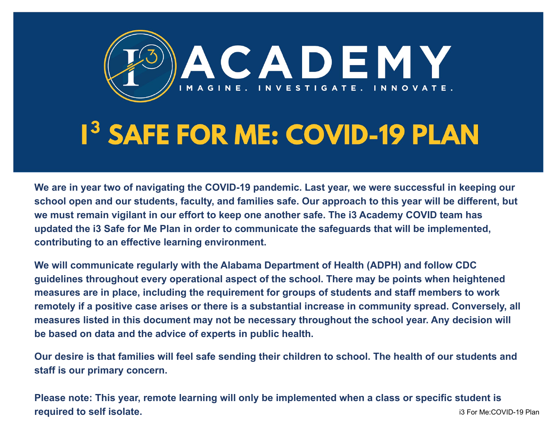

# **1<sup>3</sup> SAFE FOR ME: COVID-19 PLAN**

**We are in year two of navigating the COVID-19 pandemic. Last year, we were successful in keeping our school open and our students, faculty, and families safe. Our approach to this year will be different, but we must remain vigilant in our effort to keep one another safe. The i3 Academy COVID team has updated the i3 Safe for Me Plan in order to communicate the safeguards that will be implemented, contributing to an effective learning environment.**

**We will communicate regularly with the Alabama Department of Health (ADPH) and follow CDC guidelines throughout every operational aspect of the school. There may be points when heightened measures are in place, including the requirement for groups of students and staff members to work remotely if a positive case arises or there is a substantial increase in community spread. Conversely, all measures listed in this document may not be necessary throughout the school year. Any decision will be based on data and the advice of experts in public health.** 

**Our desire is that families will feel safe sending their children to school. The health of our students and staff is our primary concern.**

**Please note: This year, remote learning will only be implemented when a class or specific student is required to self isolate. iii**  $P = 19$  For Me:COVID-19 Plan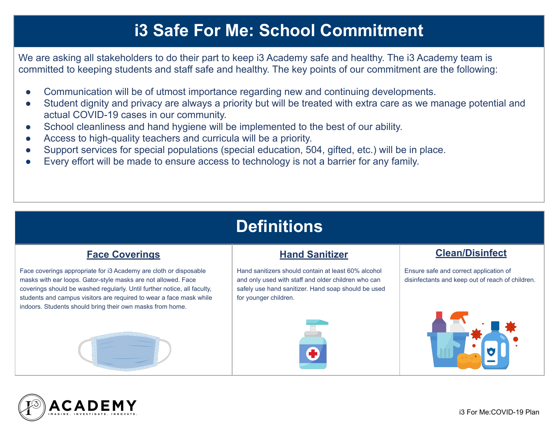### **i3 Safe For Me: School Commitment**

We are asking all stakeholders to do their part to keep i3 Academy safe and healthy. The i3 Academy team is committed to keeping students and staff safe and healthy. The key points of our commitment are the following:

- Communication will be of utmost importance regarding new and continuing developments.
- Student dignity and privacy are always a priority but will be treated with extra care as we manage potential and actual COVID-19 cases in our community.
- School cleanliness and hand hygiene will be implemented to the best of our ability.
- Access to high-quality teachers and curricula will be a priority.
- Support services for special populations (special education, 504, gifted, etc.) will be in place.
- Every effort will be made to ensure access to technology is not a barrier for any family.

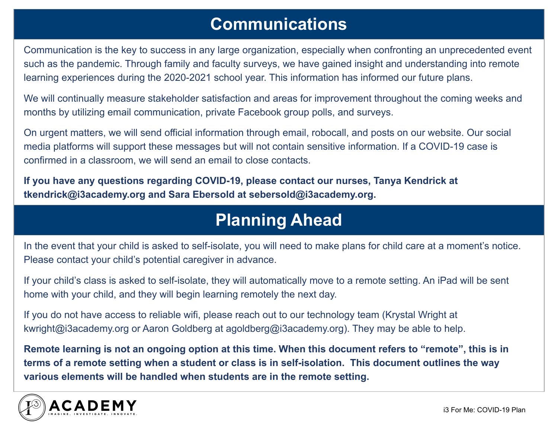#### **Communications**

Communication is the key to success in any large organization, especially when confronting an unprecedented event such as the pandemic. Through family and faculty surveys, we have gained insight and understanding into remote learning experiences during the 2020-2021 school year. This information has informed our future plans.

We will continually measure stakeholder satisfaction and areas for improvement throughout the coming weeks and months by utilizing email communication, private Facebook group polls, and surveys.

On urgent matters, we will send official information through email, robocall, and posts on our website. Our social media platforms will support these messages but will not contain sensitive information. If a COVID-19 case is confirmed in a classroom, we will send an email to close contacts.

**If you have any questions regarding COVID-19, please contact our nurses, Tanya Kendrick at tkendrick@i3academy.org and Sara Ebersold at sebersold@i3academy.org.** 

### **Planning Ahead**

In the event that your child is asked to self-isolate, you will need to make plans for child care at a moment's notice. Please contact your child's potential caregiver in advance.

If your child's class is asked to self-isolate, they will automatically move to a remote setting. An iPad will be sent home with your child, and they will begin learning remotely the next day.

If you do not have access to reliable wifi, please reach out to our technology team (Krystal Wright at kwright@i3academy.org or Aaron Goldberg at agoldberg@i3academy.org). They may be able to help.

**Remote learning is not an ongoing option at this time. When this document refers to "remote", this is in terms of a remote setting when a student or class is in self-isolation. This document outlines the way various elements will be handled when students are in the remote setting.** 

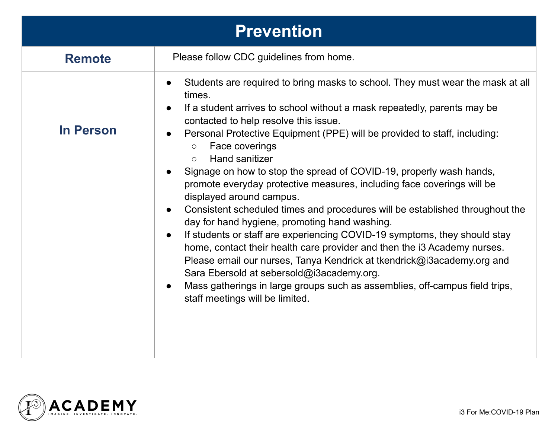| <b>Prevention</b> |                                                                                                                                                                                                                                                                                                                                                                                                                                                                                                                                                                                                                                                                                                                                                                                                                                                                                                                                                                                                                                                                                                                                                                           |
|-------------------|---------------------------------------------------------------------------------------------------------------------------------------------------------------------------------------------------------------------------------------------------------------------------------------------------------------------------------------------------------------------------------------------------------------------------------------------------------------------------------------------------------------------------------------------------------------------------------------------------------------------------------------------------------------------------------------------------------------------------------------------------------------------------------------------------------------------------------------------------------------------------------------------------------------------------------------------------------------------------------------------------------------------------------------------------------------------------------------------------------------------------------------------------------------------------|
| <b>Remote</b>     | Please follow CDC guidelines from home.                                                                                                                                                                                                                                                                                                                                                                                                                                                                                                                                                                                                                                                                                                                                                                                                                                                                                                                                                                                                                                                                                                                                   |
| In Person         | Students are required to bring masks to school. They must wear the mask at all<br>$\bullet$<br>times.<br>If a student arrives to school without a mask repeatedly, parents may be<br>$\bullet$<br>contacted to help resolve this issue.<br>Personal Protective Equipment (PPE) will be provided to staff, including:<br>$\bullet$<br>Face coverings<br>$\bigcirc$<br><b>Hand sanitizer</b><br>$\circ$<br>Signage on how to stop the spread of COVID-19, properly wash hands,<br>$\bullet$<br>promote everyday protective measures, including face coverings will be<br>displayed around campus.<br>Consistent scheduled times and procedures will be established throughout the<br>$\bullet$<br>day for hand hygiene, promoting hand washing.<br>If students or staff are experiencing COVID-19 symptoms, they should stay<br>$\bullet$<br>home, contact their health care provider and then the i3 Academy nurses.<br>Please email our nurses, Tanya Kendrick at tkendrick@i3academy.org and<br>Sara Ebersold at sebersold@i3academy.org.<br>Mass gatherings in large groups such as assemblies, off-campus field trips,<br>$\bullet$<br>staff meetings will be limited. |

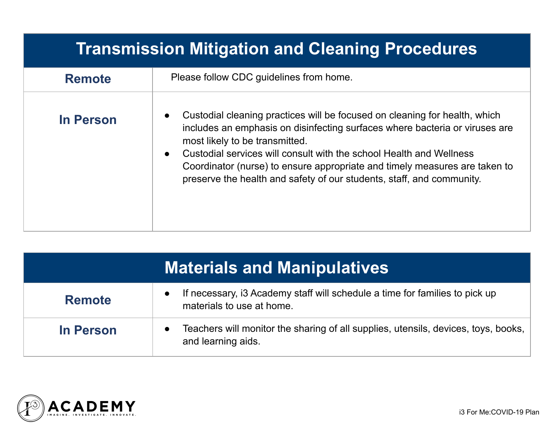| Transmission Mitigation and Cleaning Procedures |                                                                                                                                                                                                                                                                                                                                                                                                                           |
|-------------------------------------------------|---------------------------------------------------------------------------------------------------------------------------------------------------------------------------------------------------------------------------------------------------------------------------------------------------------------------------------------------------------------------------------------------------------------------------|
| <b>Remote</b>                                   | Please follow CDC guidelines from home.                                                                                                                                                                                                                                                                                                                                                                                   |
| <b>In Person</b>                                | Custodial cleaning practices will be focused on cleaning for health, which<br>includes an emphasis on disinfecting surfaces where bacteria or viruses are<br>most likely to be transmitted.<br>Custodial services will consult with the school Health and Wellness<br>Coordinator (nurse) to ensure appropriate and timely measures are taken to<br>preserve the health and safety of our students, staff, and community. |

| <b>Materials and Manipulatives</b> |                                                                                                          |
|------------------------------------|----------------------------------------------------------------------------------------------------------|
| <b>Remote</b>                      | If necessary, is Academy staff will schedule a time for families to pick up<br>materials to use at home. |
| <b>In Person</b>                   | Teachers will monitor the sharing of all supplies, utensils, devices, toys, books,<br>and learning aids. |

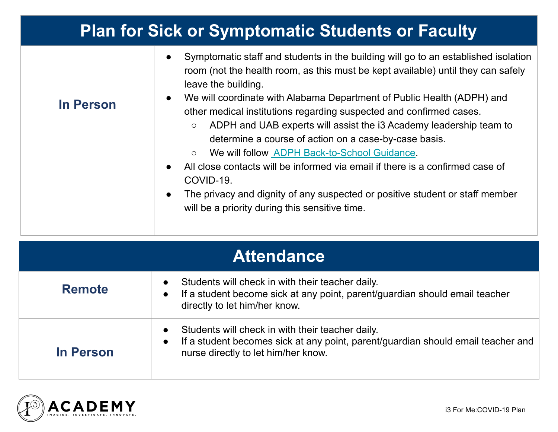| <b>Plan for Sick or Symptomatic Students or Faculty</b> |                                                                                                                                                                                                                                                                                                                                                                                                                                                                                                                                                                                                                                                                                                                                                                                                                                                             |
|---------------------------------------------------------|-------------------------------------------------------------------------------------------------------------------------------------------------------------------------------------------------------------------------------------------------------------------------------------------------------------------------------------------------------------------------------------------------------------------------------------------------------------------------------------------------------------------------------------------------------------------------------------------------------------------------------------------------------------------------------------------------------------------------------------------------------------------------------------------------------------------------------------------------------------|
| <b>In Person</b>                                        | Symptomatic staff and students in the building will go to an established isolation<br>$\bullet$<br>room (not the health room, as this must be kept available) until they can safely<br>leave the building.<br>We will coordinate with Alabama Department of Public Health (ADPH) and<br>$\bullet$<br>other medical institutions regarding suspected and confirmed cases.<br>ADPH and UAB experts will assist the i3 Academy leadership team to<br>$\circ$<br>determine a course of action on a case-by-case basis.<br>We will follow <b>ADPH Back-to-School Guidance</b> .<br>$\circlearrowright$<br>All close contacts will be informed via email if there is a confirmed case of<br>$\bullet$<br>COVID-19.<br>The privacy and dignity of any suspected or positive student or staff member<br>$\bullet$<br>will be a priority during this sensitive time. |

| <b>Attendance</b> |                                                                                                                                                                                          |
|-------------------|------------------------------------------------------------------------------------------------------------------------------------------------------------------------------------------|
| <b>Remote</b>     | Students will check in with their teacher daily.<br>If a student become sick at any point, parent/guardian should email teacher<br>$\bullet$<br>directly to let him/her know.            |
| In Person         | Students will check in with their teacher daily.<br>If a student becomes sick at any point, parent/guardian should email teacher and<br>$\bullet$<br>nurse directly to let him/her know. |

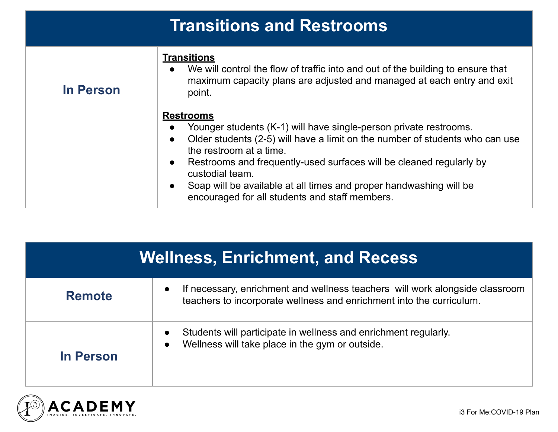| <b>Transitions and Restrooms</b> |                                                                                                                                                                                                                                                                                                                                                                                                                                                                        |
|----------------------------------|------------------------------------------------------------------------------------------------------------------------------------------------------------------------------------------------------------------------------------------------------------------------------------------------------------------------------------------------------------------------------------------------------------------------------------------------------------------------|
| In Person                        | <b>Transitions</b><br>We will control the flow of traffic into and out of the building to ensure that<br>$\bullet$<br>maximum capacity plans are adjusted and managed at each entry and exit<br>point.                                                                                                                                                                                                                                                                 |
|                                  | <b>Restrooms</b><br>Younger students (K-1) will have single-person private restrooms.<br>$\bullet$<br>Older students (2-5) will have a limit on the number of students who can use<br>$\bullet$<br>the restroom at a time.<br>Restrooms and frequently-used surfaces will be cleaned regularly by<br>$\bullet$<br>custodial team.<br>Soap will be available at all times and proper handwashing will be<br>$\bullet$<br>encouraged for all students and staff members. |

| <b>Wellness, Enrichment, and Recess</b> |                                                                                                                                                      |
|-----------------------------------------|------------------------------------------------------------------------------------------------------------------------------------------------------|
| <b>Remote</b>                           | If necessary, enrichment and wellness teachers will work alongside classroom<br>teachers to incorporate wellness and enrichment into the curriculum. |
| In Person                               | Students will participate in wellness and enrichment regularly.<br>Wellness will take place in the gym or outside.                                   |

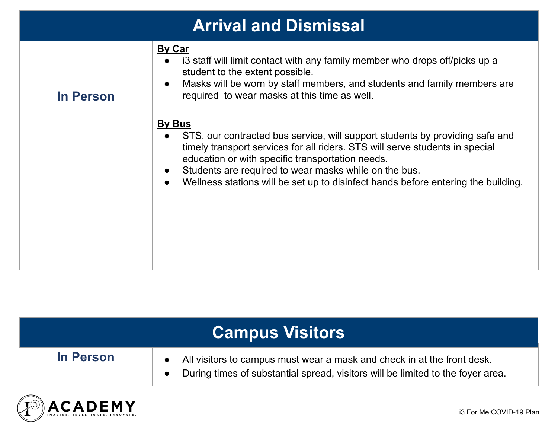| <b>Arrival and Dismissal</b> |                                                                                                                                                                                                                                                                                                                                                                                                                        |
|------------------------------|------------------------------------------------------------------------------------------------------------------------------------------------------------------------------------------------------------------------------------------------------------------------------------------------------------------------------------------------------------------------------------------------------------------------|
| <b>In Person</b>             | <b>By Car</b><br>i3 staff will limit contact with any family member who drops off/picks up a<br>$\bullet$<br>student to the extent possible.<br>Masks will be worn by staff members, and students and family members are<br>$\bullet$<br>required to wear masks at this time as well.                                                                                                                                  |
|                              | <b>By Bus</b><br>STS, our contracted bus service, will support students by providing safe and<br>$\bullet$<br>timely transport services for all riders. STS will serve students in special<br>education or with specific transportation needs.<br>Students are required to wear masks while on the bus.<br>$\bullet$<br>Wellness stations will be set up to disinfect hands before entering the building.<br>$\bullet$ |

| In Person | All visitors to campus must wear a mask and check in at the front desk.<br>During times of substantial spread, visitors will be limited to the foyer area. |
|-----------|------------------------------------------------------------------------------------------------------------------------------------------------------------|

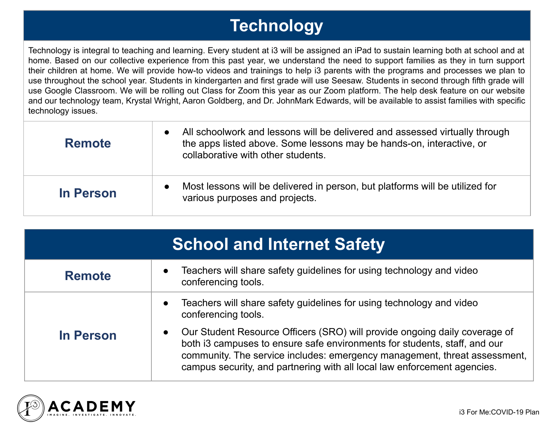## **Technology**

Technology is integral to teaching and learning. Every student at i3 will be assigned an iPad to sustain learning both at school and at home. Based on our collective experience from this past year, we understand the need to support families as they in turn support their children at home. We will provide how-to videos and trainings to help i3 parents with the programs and processes we plan to use throughout the school year. Students in kindergarten and first grade will use Seesaw. Students in second through fifth grade will use Google Classroom. We will be rolling out Class for Zoom this year as our Zoom platform. The help desk feature on our website and our technology team, Krystal Wright, Aaron Goldberg, and Dr. JohnMark Edwards, will be available to assist families with specific technology issues.

| <b>Remote</b> | All schoolwork and lessons will be delivered and assessed virtually through<br>the apps listed above. Some lessons may be hands-on, interactive, or<br>collaborative with other students. |
|---------------|-------------------------------------------------------------------------------------------------------------------------------------------------------------------------------------------|
| In Person     | Most lessons will be delivered in person, but platforms will be utilized for<br>various purposes and projects.                                                                            |

| <b>School and Internet Safety</b> |                                                                                                                                                                                                                                                                                                                               |
|-----------------------------------|-------------------------------------------------------------------------------------------------------------------------------------------------------------------------------------------------------------------------------------------------------------------------------------------------------------------------------|
| <b>Remote</b>                     | Teachers will share safety guidelines for using technology and video<br>$\bullet$<br>conferencing tools.                                                                                                                                                                                                                      |
|                                   | Teachers will share safety guidelines for using technology and video<br>$\bullet$<br>conferencing tools.                                                                                                                                                                                                                      |
| <b>In Person</b>                  | Our Student Resource Officers (SRO) will provide ongoing daily coverage of<br>$\bullet$<br>both i3 campuses to ensure safe environments for students, staff, and our<br>community. The service includes: emergency management, threat assessment,<br>campus security, and partnering with all local law enforcement agencies. |

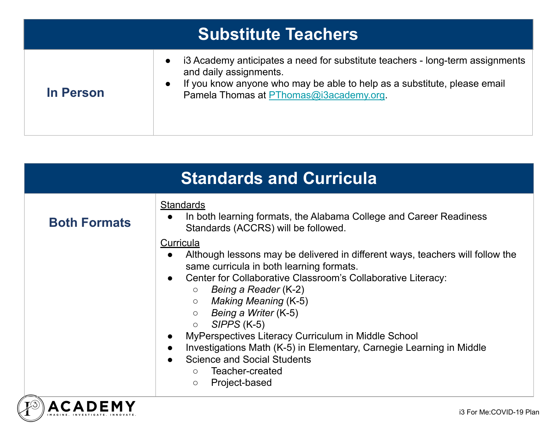| <b>Substitute Teachers</b> |                                                                                                                                                                                                                                |
|----------------------------|--------------------------------------------------------------------------------------------------------------------------------------------------------------------------------------------------------------------------------|
| <b>In Person</b>           | i3 Academy anticipates a need for substitute teachers - long-term assignments<br>and daily assignments.<br>If you know anyone who may be able to help as a substitute, please email<br>Pamela Thomas at PThomas@i3academy.org. |

| <b>Standards and Curricula</b> |                                                                                                                                                                                                                                                                                                                                                                                                |  |
|--------------------------------|------------------------------------------------------------------------------------------------------------------------------------------------------------------------------------------------------------------------------------------------------------------------------------------------------------------------------------------------------------------------------------------------|--|
| <b>Both Formats</b>            | <b>Standards</b><br>In both learning formats, the Alabama College and Career Readiness<br>$\bullet$<br>Standards (ACCRS) will be followed.<br><b>Curricula</b><br>Although lessons may be delivered in different ways, teachers will follow the<br>same curricula in both learning formats.<br>Center for Collaborative Classroom's Collaborative Literacy:<br>Being a Reader (K-2)<br>$\circ$ |  |
|                                | Making Meaning (K-5)<br>$\circ$<br>$\circ$ Being a Writer (K-5)<br>$SIPPS$ (K-5)<br>$\bigcirc$<br>MyPerspectives Literacy Curriculum in Middle School<br>Investigations Math (K-5) in Elementary, Carnegie Learning in Middle<br><b>Science and Social Students</b><br>Teacher-created<br>$\Omega$<br>Project-based<br>$\circ$                                                                 |  |
|                                | i3 For Me:COVID-19 Plan                                                                                                                                                                                                                                                                                                                                                                        |  |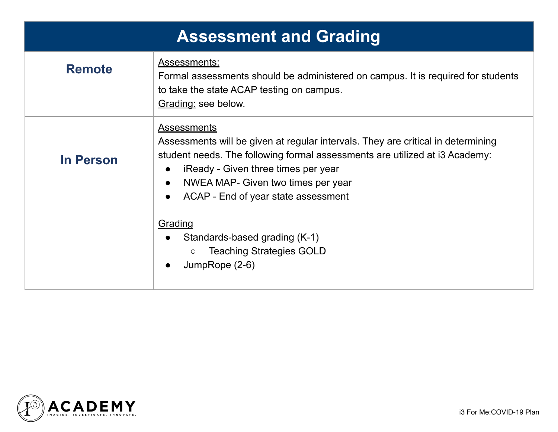| <b>Assessment and Grading</b> |                                                                                                                                                                                                                                                                                                                                                                    |  |
|-------------------------------|--------------------------------------------------------------------------------------------------------------------------------------------------------------------------------------------------------------------------------------------------------------------------------------------------------------------------------------------------------------------|--|
| <b>Remote</b>                 | Assessments:<br>Formal assessments should be administered on campus. It is required for students<br>to take the state ACAP testing on campus.<br>Grading: see below.                                                                                                                                                                                               |  |
| <b>In Person</b>              | <b>Assessments</b><br>Assessments will be given at regular intervals. They are critical in determining<br>student needs. The following formal assessments are utilized at i3 Academy:<br>iReady - Given three times per year<br>NWEA MAP- Given two times per year<br>$\bullet$<br>ACAP - End of year state assessment<br>Grading<br>Standards-based grading (K-1) |  |
|                               | <b>Teaching Strategies GOLD</b><br>$\bigcirc$<br>JumpRope (2-6)                                                                                                                                                                                                                                                                                                    |  |

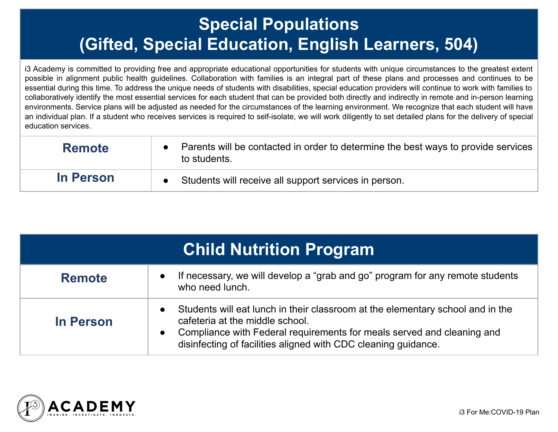## **Special Populations (Gifted, Special Education, English Learners, 504)**

i3 Academy is committed to providing free and appropriate educational opportunities for students with unique circumstances to the greatest extent possible in alignment public health guidelines. Collaboration with families is an integral part of these plans and processes and continues to be essential during this time. To address the unique needs of students with disabilities, special education providers will continue to work with families to collaboratively identify the most essential services for each student that can be provided both directly and indirectly in remote and in-person learning environments. Service plans will be adjusted as needed for the circumstances of the learning environment. We recognize that each student will have an individual plan. If a student who receives services is required to self-isolate, we will work diligently to set detailed plans for the delivery of special education services.

| <b>Remote</b> | Parents will be contacted in order to determine the best ways to provide services<br>to students. |
|---------------|---------------------------------------------------------------------------------------------------|
| In Person     | Students will receive all support services in person.                                             |

| <b>Child Nutrition Program</b> |                                                                                                                                                                                                                                                                                         |  |
|--------------------------------|-----------------------------------------------------------------------------------------------------------------------------------------------------------------------------------------------------------------------------------------------------------------------------------------|--|
| <b>Remote</b>                  | If necessary, we will develop a "grab and go" program for any remote students<br>$\bullet$<br>who need lunch.                                                                                                                                                                           |  |
| In Person                      | Students will eat lunch in their classroom at the elementary school and in the<br>$\bullet$<br>cafeteria at the middle school.<br>Compliance with Federal requirements for meals served and cleaning and<br>$\bullet$<br>disinfecting of facilities aligned with CDC cleaning guidance. |  |